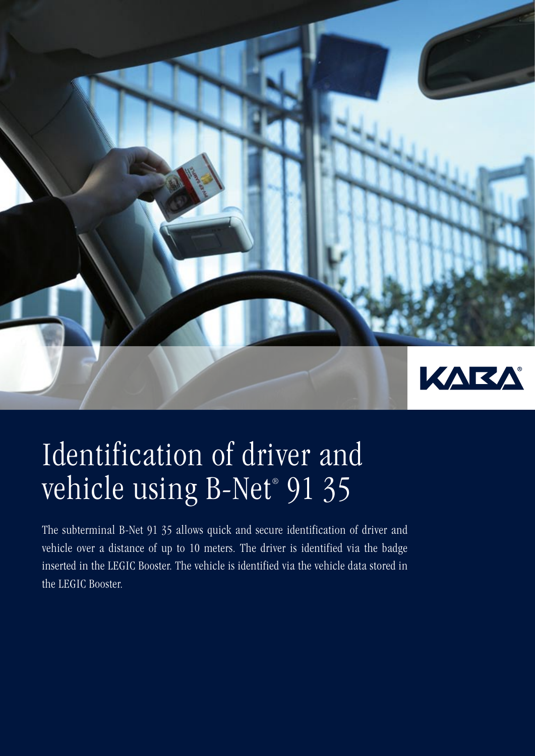

# Identification of driver and vehicle using B-Net® 91 35

The subterminal B-Net 91 35 allows quick and secure identification of driver and vehicle over a distance of up to 10 meters. The driver is identified via the badge inserted in the LEGIC Booster. The vehicle is identified via the vehicle data stored in the LEGIC Booster.